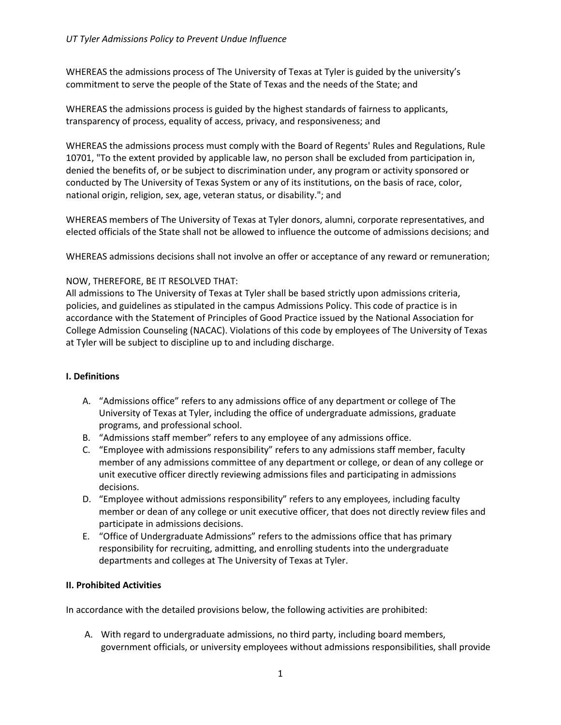WHEREAS the admissions process of The University of Texas at Tyler is guided by the university's commitment to serve the people of the State of Texas and the needs of the State; and

WHEREAS the admissions process is guided by the highest standards of fairness to applicants, transparency of process, equality of access, privacy, and responsiveness; and

WHEREAS the admissions process must comply with the Board of Regents' Rules and Regulations, Rule 10701, "To the extent provided by applicable law, no person shall be excluded from participation in, denied the benefits of, or be subject to discrimination under, any program or activity sponsored or conducted by The University of Texas System or any of its institutions, on the basis of race, color, national origin, religion, sex, age, veteran status, or disability."; and

WHEREAS members of The University of Texas at Tyler donors, alumni, corporate representatives, and elected officials of the State shall not be allowed to influence the outcome of admissions decisions; and

WHEREAS admissions decisions shall not involve an offer or acceptance of any reward or remuneration;

## NOW, THEREFORE, BE IT RESOLVED THAT:

All admissions to The University of Texas at Tyler shall be based strictly upon admissions criteria, policies, and guidelines as stipulated in the campus Admissions Policy. This code of practice is in accordance with the Statement of Principles of Good Practice issued by the National Association for College Admission Counseling (NACAC). Violations of this code by employees of The University of Texas at Tyler will be subject to discipline up to and including discharge.

### **I. Definitions**

- A. "Admissions office" refers to any admissions office of any department or college of The University of Texas at Tyler, including the office of undergraduate admissions, graduate programs, and professional school.
- B. "Admissions staff member" refers to any employee of any admissions office.
- C. "Employee with admissions responsibility" refers to any admissions staff member, faculty member of any admissions committee of any department or college, or dean of any college or unit executive officer directly reviewing admissions files and participating in admissions decisions.
- D. "Employee without admissions responsibility" refers to any employees, including faculty member or dean of any college or unit executive officer, that does not directly review files and participate in admissions decisions.
- E. "Office of Undergraduate Admissions" refers to the admissions office that has primary responsibility for recruiting, admitting, and enrolling students into the undergraduate departments and colleges at The University of Texas at Tyler.

### **II. Prohibited Activities**

In accordance with the detailed provisions below, the following activities are prohibited:

A. With regard to undergraduate admissions, no third party, including board members, government officials, or university employees without admissions responsibilities, shall provide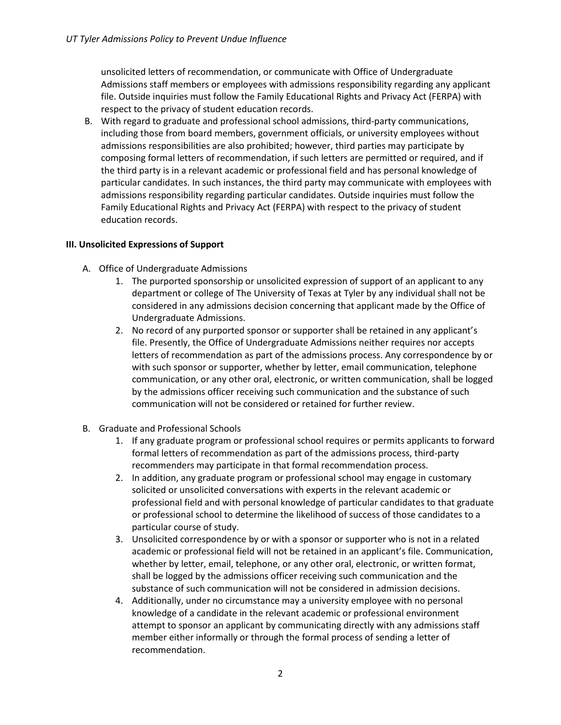unsolicited letters of recommendation, or communicate with Office of Undergraduate Admissions staff members or employees with admissions responsibility regarding any applicant file. Outside inquiries must follow the Family Educational Rights and Privacy Act (FERPA) with respect to the privacy of student education records.

B. With regard to graduate and professional school admissions, third-party communications, including those from board members, government officials, or university employees without admissions responsibilities are also prohibited; however, third parties may participate by composing formal letters of recommendation, if such letters are permitted or required, and if the third party is in a relevant academic or professional field and has personal knowledge of particular candidates. In such instances, the third party may communicate with employees with admissions responsibility regarding particular candidates. Outside inquiries must follow the Family Educational Rights and Privacy Act (FERPA) with respect to the privacy of student education records.

# **III. Unsolicited Expressions of Support**

- A. Office of Undergraduate Admissions
	- 1. The purported sponsorship or unsolicited expression of support of an applicant to any department or college of The University of Texas at Tyler by any individual shall not be considered in any admissions decision concerning that applicant made by the Office of Undergraduate Admissions.
	- 2. No record of any purported sponsor or supporter shall be retained in any applicant's file. Presently, the Office of Undergraduate Admissions neither requires nor accepts letters of recommendation as part of the admissions process. Any correspondence by or with such sponsor or supporter, whether by letter, email communication, telephone communication, or any other oral, electronic, or written communication, shall be logged by the admissions officer receiving such communication and the substance of such communication will not be considered or retained for further review.
- B. Graduate and Professional Schools
	- 1. If any graduate program or professional school requires or permits applicants to forward formal letters of recommendation as part of the admissions process, third-party recommenders may participate in that formal recommendation process.
	- 2. In addition, any graduate program or professional school may engage in customary solicited or unsolicited conversations with experts in the relevant academic or professional field and with personal knowledge of particular candidates to that graduate or professional school to determine the likelihood of success of those candidates to a particular course of study.
	- 3. Unsolicited correspondence by or with a sponsor or supporter who is not in a related academic or professional field will not be retained in an applicant's file. Communication, whether by letter, email, telephone, or any other oral, electronic, or written format, shall be logged by the admissions officer receiving such communication and the substance of such communication will not be considered in admission decisions.
	- 4. Additionally, under no circumstance may a university employee with no personal knowledge of a candidate in the relevant academic or professional environment attempt to sponsor an applicant by communicating directly with any admissions staff member either informally or through the formal process of sending a letter of recommendation.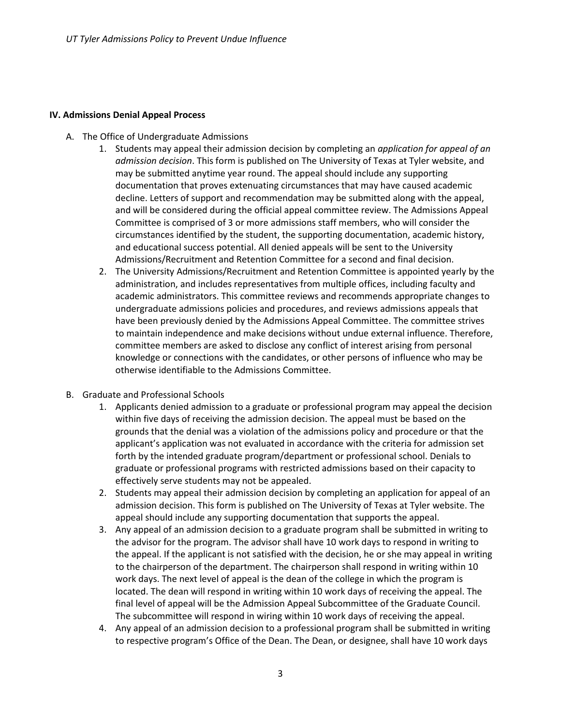#### **IV. Admissions Denial Appeal Process**

- A. The Office of Undergraduate Admissions
	- 1. Students may appeal their admission decision by completing an *application for appeal of an admission decision*. This form is published on The University of Texas at Tyler website, and may be submitted anytime year round. The appeal should include any supporting documentation that proves extenuating circumstances that may have caused academic decline. Letters of support and recommendation may be submitted along with the appeal, and will be considered during the official appeal committee review. The Admissions Appeal Committee is comprised of 3 or more admissions staff members, who will consider the circumstances identified by the student, the supporting documentation, academic history, and educational success potential. All denied appeals will be sent to the University Admissions/Recruitment and Retention Committee for a second and final decision.
	- 2. The University Admissions/Recruitment and Retention Committee is appointed yearly by the administration, and includes representatives from multiple offices, including faculty and academic administrators. This committee reviews and recommends appropriate changes to undergraduate admissions policies and procedures, and reviews admissions appeals that have been previously denied by the Admissions Appeal Committee. The committee strives to maintain independence and make decisions without undue external influence. Therefore, committee members are asked to disclose any conflict of interest arising from personal knowledge or connections with the candidates, or other persons of influence who may be otherwise identifiable to the Admissions Committee.
- B. Graduate and Professional Schools
	- 1. Applicants denied admission to a graduate or professional program may appeal the decision within five days of receiving the admission decision. The appeal must be based on the grounds that the denial was a violation of the admissions policy and procedure or that the applicant's application was not evaluated in accordance with the criteria for admission set forth by the intended graduate program/department or professional school. Denials to graduate or professional programs with restricted admissions based on their capacity to effectively serve students may not be appealed.
	- 2. Students may appeal their admission decision by completing an application for appeal of an admission decision. This form is published on The University of Texas at Tyler website. The appeal should include any supporting documentation that supports the appeal.
	- 3. Any appeal of an admission decision to a graduate program shall be submitted in writing to the advisor for the program. The advisor shall have 10 work days to respond in writing to the appeal. If the applicant is not satisfied with the decision, he or she may appeal in writing to the chairperson of the department. The chairperson shall respond in writing within 10 work days. The next level of appeal is the dean of the college in which the program is located. The dean will respond in writing within 10 work days of receiving the appeal. The final level of appeal will be the Admission Appeal Subcommittee of the Graduate Council. The subcommittee will respond in wiring within 10 work days of receiving the appeal.
	- 4. Any appeal of an admission decision to a professional program shall be submitted in writing to respective program's Office of the Dean. The Dean, or designee, shall have 10 work days